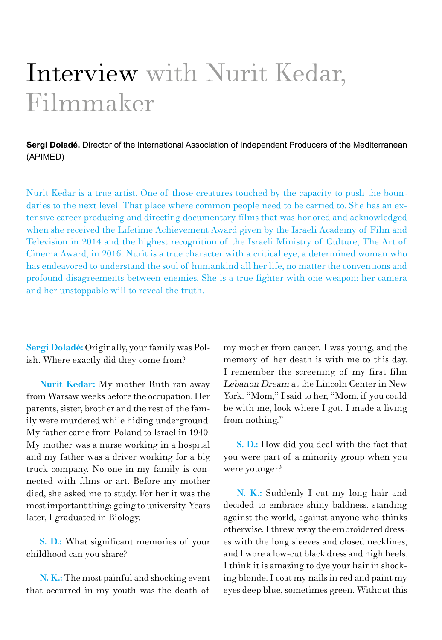## Interview with Nurit Kedar, Filmmaker

**Sergi Doladé.** Director of the International Association of Independent Producers of the Mediterranean (APIMED)

Nurit Kedar is a true artist. One of those creatures touched by the capacity to push the boundaries to the next level. That place where common people need to be carried to. She has an extensive career producing and directing documentary films that was honored and acknowledged when she received the Lifetime Achievement Award given by the Israeli Academy of Film and Television in 2014 and the highest recognition of the Israeli Ministry of Culture, The Art of Cinema Award, in 2016. Nurit is a true character with a critical eye, a determined woman who has endeavored to understand the soul of humankind all her life, no matter the conventions and profound disagreements between enemies. She is a true fighter with one weapon: her camera and her unstoppable will to reveal the truth.

Sergi Doladé: Originally, your family was Polish. Where exactly did they come from?

Nurit Kedar: My mother Ruth ran away from Warsaw weeks before the occupation. Her parents, sister, brother and the rest of the family were murdered while hiding underground. My father came from Poland to Israel in 1940. My mother was a nurse working in a hospital and my father was a driver working for a big truck company. No one in my family is connected with films or art. Before my mother died, she asked me to study. For her it was the most important thing: going to university. Years later, I graduated in Biology.

S. D.: What significant memories of your childhood can you share?

N. K.: The most painful and shocking event that occurred in my youth was the death of

my mother from cancer. I was young, and the memory of her death is with me to this day. I remember the screening of my first film Lebanon Dream at the Lincoln Center in New York. "Mom," I said to her, "Mom, if you could be with me, look where I got. I made a living from nothing."

S. D.: How did you deal with the fact that you were part of a minority group when you were younger?

N. K.: Suddenly I cut my long hair and decided to embrace shiny baldness, standing against the world, against anyone who thinks otherwise. I threw away the embroidered dresses with the long sleeves and closed necklines, and I wore a low-cut black dress and high heels. I think it is amazing to dye your hair in shocking blonde. I coat my nails in red and paint my eyes deep blue, sometimes green. Without this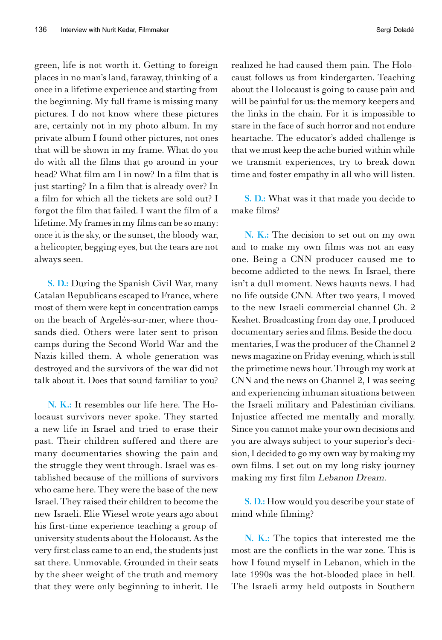green, life is not worth it. Getting to foreign places in no man's land, faraway, thinking of a once in a lifetime experience and starting from the beginning. My full frame is missing many pictures. I do not know where these pictures are, certainly not in my photo album. In my private album I found other pictures, not ones that will be shown in my frame. What do you do with all the films that go around in your head? What film am I in now? In a film that is just starting? In a film that is already over? In a film for which all the tickets are sold out? I forgot the film that failed. I want the film of a lifetime. My frames in my films can be so many: once it is the sky, or the sunset, the bloody war, a helicopter, begging eyes, but the tears are not always seen.

S. D.: During the Spanish Civil War, many Catalan Republicans escaped to France, where most of them were kept in concentration camps on the beach of Argelès-sur-mer, where thousands died. Others were later sent to prison camps during the Second World War and the Nazis killed them. A whole generation was destroyed and the survivors of the war did not talk about it. Does that sound familiar to you?

N. K.: It resembles our life here. The Holocaust survivors never spoke. They started a new life in Israel and tried to erase their past. Their children suffered and there are many documentaries showing the pain and the struggle they went through. Israel was established because of the millions of survivors who came here. They were the base of the new Israel. They raised their children to become the new Israeli. Elie Wiesel wrote years ago about his first-time experience teaching a group of university students about the Holocaust. As the very first class came to an end, the students just sat there. Unmovable. Grounded in their seats by the sheer weight of the truth and memory that they were only beginning to inherit. He

realized he had caused them pain. The Holocaust follows us from kindergarten. Teaching about the Holocaust is going to cause pain and will be painful for us: the memory keepers and the links in the chain. For it is impossible to stare in the face of such horror and not endure heartache. The educator's added challenge is that we must keep the ache buried within while we transmit experiences, try to break down time and foster empathy in all who will listen.

S. D.: What was it that made you decide to make films?

N. K.: The decision to set out on my own and to make my own films was not an easy one. Being a CNN producer caused me to become addicted to the news. In Israel, there isn't a dull moment. News haunts news. I had no life outside CNN. After two years, I moved to the new Israeli commercial channel Ch. 2 Keshet. Broadcasting from day one, I produced documentary series and films. Beside the documentaries, I was the producer of the Channel 2 news magazine on Friday evening, which is still the primetime news hour. Through my work at CNN and the news on Channel 2, I was seeing and experiencing inhuman situations between the Israeli military and Palestinian civilians. Injustice affected me mentally and morally. Since you cannot make your own decisions and you are always subject to your superior's decision, I decided to go my own way by making my own films. I set out on my long risky journey making my first film Lebanon Dream.

S. D.: How would you describe your state of mind while filming?

N. K.: The topics that interested me the most are the conflicts in the war zone. This is how I found myself in Lebanon, which in the late 1990s was the hot-blooded place in hell. The Israeli army held outposts in Southern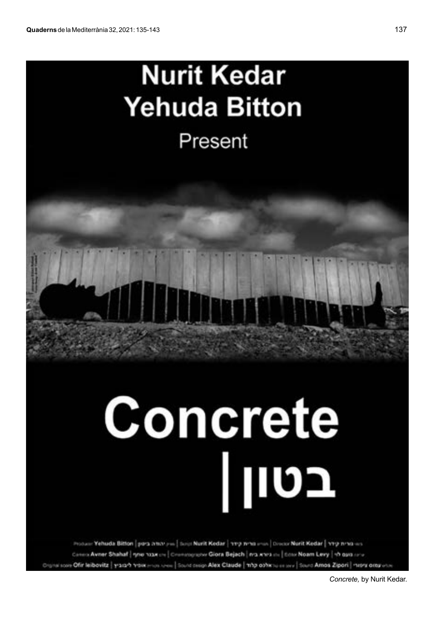## **Nurit Kedar Yehuda Bitton**

Present

## Concrete בט Ш

Produce Yehuda Bitton | pora amar you | Suici Nurit Kedar | 119 anno 2100 | Dresse Nurit Kedar | 119 anno 201 Constructioner Shahaf | now has on | Commography Giora Bejach | nrs anys on | dosol Noam Levy | vb gara any ital some Offir leibovitz | yracarh voix music men | Sound despi Alex Claude | map obter is en serv | Sound Amos Zipori | mens oras with

*Concrete,* by Nurit Kedar.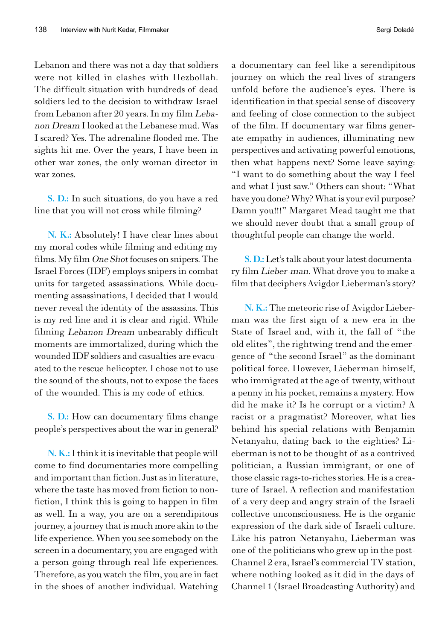Lebanon and there was not a day that soldiers were not killed in clashes with Hezbollah. The difficult situation with hundreds of dead soldiers led to the decision to withdraw Israel from Lebanon after 20 years. In my film Lebanon Dream I looked at the Lebanese mud. Was I scared? Yes. The adrenaline flooded me. The sights hit me. Over the years, I have been in other war zones, the only woman director in war zones.

S. D.: In such situations, do you have a red line that you will not cross while filming?

N. K.: Absolutely! I have clear lines about my moral codes while filming and editing my films. My film One Shot focuses on snipers. The Israel Forces (IDF) employs snipers in combat units for targeted assassinations. While documenting assassinations, I decided that I would never reveal the identity of the assassins. This is my red line and it is clear and rigid. While filming Lebanon Dream unbearably difficult moments are immortalized, during which the wounded IDF soldiers and casualties are evacuated to the rescue helicopter. I chose not to use the sound of the shouts, not to expose the faces of the wounded. This is my code of ethics.

S. D.: How can documentary films change people's perspectives about the war in general?

N. K.: I think it is inevitable that people will come to find documentaries more compelling and important than fiction. Just as in literature, where the taste has moved from fiction to nonfiction, I think this is going to happen in film as well. In a way, you are on a serendipitous journey, a journey that is much more akin to the life experience. When you see somebody on the screen in a documentary, you are engaged with a person going through real life experiences. Therefore, as you watch the film, you are in fact in the shoes of another individual. Watching

a documentary can feel like a serendipitous journey on which the real lives of strangers unfold before the audience's eyes. There is identification in that special sense of discovery and feeling of close connection to the subject of the film. If documentary war films generate empathy in audiences, illuminating new perspectives and activating powerful emotions, then what happens next? Some leave saying: "I want to do something about the way I feel and what I just saw." Others can shout: "What have you done? Why? What is your evil purpose? Damn you!!!" Margaret Mead taught me that we should never doubt that a small group of thoughtful people can change the world.

S. D.: Let's talk about your latest documentary film Lieber-man. What drove you to make a film that deciphers Avigdor Lieberman's story?

N. K.: The meteoric rise of Avigdor Lieberman was the first sign of a new era in the State of Israel and, with it, the fall of "the old elites", the rightwing trend and the emergence of "the second Israel" as the dominant political force. However, Lieberman himself, who immigrated at the age of twenty, without a penny in his pocket, remains a mystery. How did he make it? Is he corrupt or a victim? A racist or a pragmatist? Moreover, what lies behind his special relations with Benjamin Netanyahu, dating back to the eighties? Lieberman is not to be thought of as a contrived politician, a Russian immigrant, or one of those classic rags-to-riches stories. He is a creature of Israel. A reflection and manifestation of a very deep and angry strain of the Israeli collective unconsciousness. He is the organic expression of the dark side of Israeli culture. Like his patron Netanyahu, Lieberman was one of the politicians who grew up in the post-Channel 2 era, Israel's commercial TV station, where nothing looked as it did in the days of Channel 1 (Israel Broadcasting Authority) and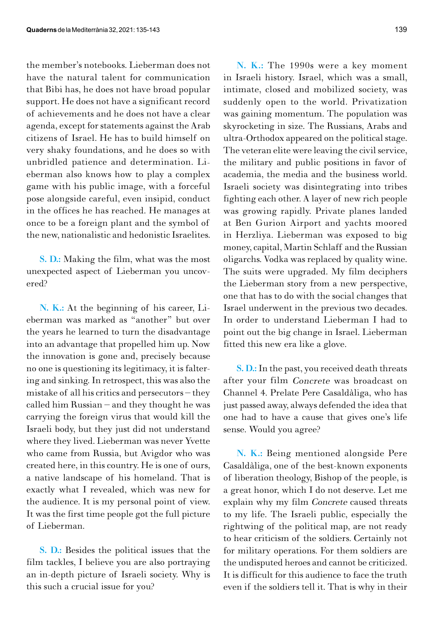the member's notebooks. Lieberman does not have the natural talent for communication that Bibi has, he does not have broad popular support. He does not have a significant record of achievements and he does not have a clear agenda, except for statements against the Arab citizens of Israel. He has to build himself on very shaky foundations, and he does so with unbridled patience and determination. Lieberman also knows how to play a complex game with his public image, with a forceful pose alongside careful, even insipid, conduct in the offices he has reached. He manages at once to be a foreign plant and the symbol of the new, nationalistic and hedonistic Israelites.

S. D.: Making the film, what was the most unexpected aspect of Lieberman you uncovered?

N. K.: At the beginning of his career, Lieberman was marked as "another" but over the years he learned to turn the disadvantage into an advantage that propelled him up. Now the innovation is gone and, precisely because no one is questioning its legitimacy, it is faltering and sinking. In retrospect, this was also the mistake of all his critics and persecutors – they called him Russian – and they thought he was carrying the foreign virus that would kill the Israeli body, but they just did not understand where they lived. Lieberman was never Yvette who came from Russia, but Avigdor who was created here, in this country. He is one of ours, a native landscape of his homeland. That is exactly what I revealed, which was new for the audience. It is my personal point of view. It was the first time people got the full picture of Lieberman.

S. D.: Besides the political issues that the film tackles, I believe you are also portraying an in-depth picture of Israeli society. Why is this such a crucial issue for you?

N. K.: The 1990s were a key moment in Israeli history. Israel, which was a small, intimate, closed and mobilized society, was suddenly open to the world. Privatization was gaining momentum. The population was skyrocketing in size. The Russians, Arabs and ultra-Orthodox appeared on the political stage. The veteran elite were leaving the civil service, the military and public positions in favor of academia, the media and the business world. Israeli society was disintegrating into tribes fighting each other. A layer of new rich people was growing rapidly. Private planes landed at Ben Gurion Airport and yachts moored in Herzliya. Lieberman was exposed to big money, capital, Martin Schlaff and the Russian oligarchs. Vodka was replaced by quality wine. The suits were upgraded. My film deciphers the Lieberman story from a new perspective, one that has to do with the social changes that Israel underwent in the previous two decades. In order to understand Lieberman I had to point out the big change in Israel. Lieberman fitted this new era like a glove.

S. D.: In the past, you received death threats after your film Concrete was broadcast on Channel 4. Prelate Pere Casaldàliga, who has just passed away, always defended the idea that one had to have a cause that gives one's life sense. Would you agree?

N. K.: Being mentioned alongside Pere Casaldàliga, one of the best-known exponents of liberation theology, Bishop of the people, is a great honor, which I do not deserve. Let me explain why my film Concrete caused threats to my life. The Israeli public, especially the rightwing of the political map, are not ready to hear criticism of the soldiers. Certainly not for military operations. For them soldiers are the undisputed heroes and cannot be criticized. It is difficult for this audience to face the truth even if the soldiers tell it. That is why in their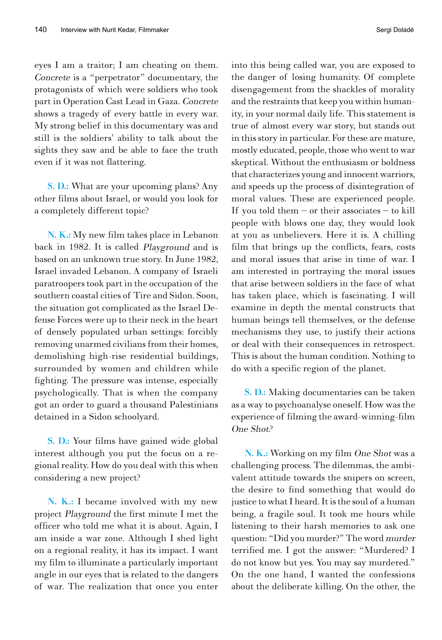eyes I am a traitor; I am cheating on them. Concrete is a "perpetrator" documentary, the protagonists of which were soldiers who took part in Operation Cast Lead in Gaza. Concrete shows a tragedy of every battle in every war. My strong belief in this documentary was and still is the soldiers' ability to talk about the sights they saw and be able to face the truth even if it was not flattering.

S. D.: What are your upcoming plans? Any other films about Israel, or would you look for a completely different topic?

N. K.: My new film takes place in Lebanon back in 1982. It is called Playground and is based on an unknown true story. In June 1982, Israel invaded Lebanon. A company of Israeli paratroopers took part in the occupation of the southern coastal cities of Tire and Sidon. Soon, the situation got complicated as the Israel Defense Forces were up to their neck in the heart of densely populated urban settings: forcibly removing unarmed civilians from their homes, demolishing high-rise residential buildings, surrounded by women and children while fighting. The pressure was intense, especially psychologically. That is when the company got an order to guard a thousand Palestinians detained in a Sidon schoolyard.

S. D.: Your films have gained wide global interest although you put the focus on a regional reality. How do you deal with this when considering a new project?

N. K.: I became involved with my new project Playground the first minute I met the officer who told me what it is about. Again, I am inside a war zone. Although I shed light on a regional reality, it has its impact. I want my film to illuminate a particularly important angle in our eyes that is related to the dangers of war. The realization that once you enter

into this being called war, you are exposed to the danger of losing humanity. Of complete disengagement from the shackles of morality and the restraints that keep you within humanity, in your normal daily life. This statement is true of almost every war story, but stands out in this story in particular. For these are mature, mostly educated, people, those who went to war skeptical. Without the enthusiasm or boldness that characterizes young and innocent warriors, and speeds up the process of disintegration of moral values. These are experienced people. If you told them  $-$  or their associates  $-$  to kill people with blows one day, they would look at you as unbelievers. Here it is. A chilling film that brings up the conflicts, fears, costs and moral issues that arise in time of war. I am interested in portraying the moral issues that arise between soldiers in the face of what has taken place, which is fascinating. I will examine in depth the mental constructs that human beings tell themselves, or the defense mechanisms they use, to justify their actions or deal with their consequences in retrospect. This is about the human condition. Nothing to do with a specific region of the planet.

S. D.: Making documentaries can be taken as a way to psychoanalyse oneself. How was the experience of filming the award-winning-film One Shot?

N. K.: Working on my film One Shot was a challenging process. The dilemmas, the ambivalent attitude towards the snipers on screen, the desire to find something that would do justice to what I heard. It is the soul of a human being, a fragile soul. It took me hours while listening to their harsh memories to ask one question: "Did you murder?" The word murder terrified me. I got the answer: "Murdered? I do not know but yes. You may say murdered." On the one hand, I wanted the confessions about the deliberate killing. On the other, the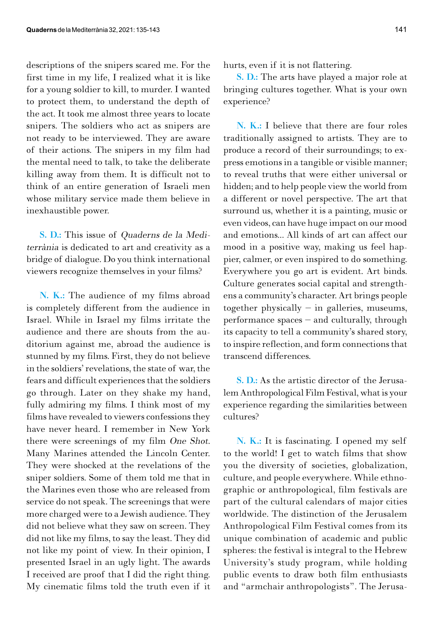descriptions of the snipers scared me. For the first time in my life, I realized what it is like for a young soldier to kill, to murder. I wanted to protect them, to understand the depth of the act. It took me almost three years to locate snipers. The soldiers who act as snipers are not ready to be interviewed. They are aware of their actions. The snipers in my film had the mental need to talk, to take the deliberate killing away from them. It is difficult not to think of an entire generation of Israeli men whose military service made them believe in inexhaustible power.

S. D.: This issue of Quaderns de la Mediterrània is dedicated to art and creativity as a bridge of dialogue. Do you think international viewers recognize themselves in your films?

N. K.: The audience of my films abroad is completely different from the audience in Israel. While in Israel my films irritate the audience and there are shouts from the auditorium against me, abroad the audience is stunned by my films. First, they do not believe in the soldiers' revelations, the state of war, the fears and difficult experiences that the soldiers go through. Later on they shake my hand, fully admiring my films. I think most of my films have revealed to viewers confessions they have never heard. I remember in New York there were screenings of my film One Shot. Many Marines attended the Lincoln Center. They were shocked at the revelations of the sniper soldiers. Some of them told me that in the Marines even those who are released from service do not speak. The screenings that were more charged were to a Jewish audience. They did not believe what they saw on screen. They did not like my films, to say the least. They did not like my point of view. In their opinion, I presented Israel in an ugly light. The awards I received are proof that I did the right thing. My cinematic films told the truth even if it hurts, even if it is not flattering.

S. D.: The arts have played a major role at bringing cultures together. What is your own experience?

N. K.: I believe that there are four roles traditionally assigned to artists. They are to produce a record of their surroundings; to express emotions in a tangible or visible manner; to reveal truths that were either universal or hidden; and to help people view the world from a different or novel perspective. The art that surround us, whether it is a painting, music or even videos, can have huge impact on our mood and emotions... All kinds of art can affect our mood in a positive way, making us feel happier, calmer, or even inspired to do something. Everywhere you go art is evident. Art binds. Culture generates social capital and strengthens a community's character. Art brings people together physically  $-$  in galleries, museums, performance spaces – and culturally, through its capacity to tell a community's shared story, to inspire reflection, and form connections that transcend differences.

S. D.: As the artistic director of the Jerusalem Anthropological Film Festival, what is your experience regarding the similarities between cultures?

N. K.: It is fascinating. I opened my self to the world! I get to watch films that show you the diversity of societies, globalization, culture, and people everywhere. While ethnographic or anthropological, film festivals are part of the cultural calendars of major cities worldwide. The distinction of the Jerusalem Anthropological Film Festival comes from its unique combination of academic and public spheres: the festival is integral to the Hebrew University's study program, while holding public events to draw both film enthusiasts and "armchair anthropologists". The Jerusa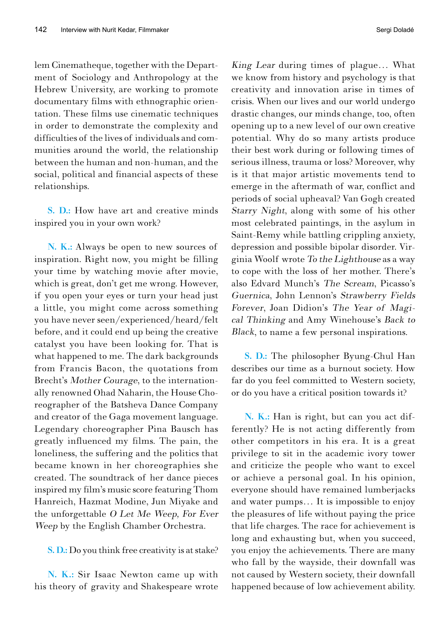lem Cinematheque, together with the Department of Sociology and Anthropology at the Hebrew University, are working to promote documentary films with ethnographic orientation. These films use cinematic techniques in order to demonstrate the complexity and difficulties of the lives of individuals and communities around the world, the relationship between the human and non-human, and the social, political and financial aspects of these relationships.

S. D.: How have art and creative minds inspired you in your own work?

N. K.: Always be open to new sources of inspiration. Right now, you might be filling your time by watching movie after movie, which is great, don't get me wrong. However, if you open your eyes or turn your head just a little, you might come across something you have never seen/experienced/heard/felt before, and it could end up being the creative catalyst you have been looking for. That is what happened to me. The dark backgrounds from Francis Bacon, the quotations from Brecht's Mother Courage, to the internationally renowned Ohad Naharin, the House Choreographer of the Batsheva Dance Company and creator of the Gaga movement language. Legendary choreographer Pina Bausch has greatly influenced my films. The pain, the loneliness, the suffering and the politics that became known in her choreographies she created. The soundtrack of her dance pieces inspired my film's music score featuring Thom Hanreich, Hazmat Modine, Jun Miyake and the unforgettable  $O$  Let Me Weep, For Ever Weep by the English Chamber Orchestra.

S. D.: Do you think free creativity is at stake?

N. K.: Sir Isaac Newton came up with his theory of gravity and Shakespeare wrote King Lear during times of plague… What we know from history and psychology is that creativity and innovation arise in times of crisis. When our lives and our world undergo drastic changes, our minds change, too, often opening up to a new level of our own creative potential. Why do so many artists produce their best work during or following times of serious illness, trauma or loss? Moreover, why is it that major artistic movements tend to emerge in the aftermath of war, conflict and periods of social upheaval? Van Gogh created Starry Night, along with some of his other most celebrated paintings, in the asylum in Saint-Remy while battling crippling anxiety, depression and possible bipolar disorder. Virginia Woolf wrote To the Lighthouse as a way to cope with the loss of her mother. There's also Edvard Munch's The Scream, Picasso's Guernica, John Lennon's Strawberry Fields Forever, Joan Didion's The Year of Magical Thinking and Amy Winehouse's Back to Black, to name a few personal inspirations.

S. D.: The philosopher Byung-Chul Han describes our time as a burnout society. How far do you feel committed to Western society, or do you have a critical position towards it?

N. K.: Han is right, but can you act differently? He is not acting differently from other competitors in his era. It is a great privilege to sit in the academic ivory tower and criticize the people who want to excel or achieve a personal goal. In his opinion, everyone should have remained lumberjacks and water pumps… It is impossible to enjoy the pleasures of life without paying the price that life charges. The race for achievement is long and exhausting but, when you succeed, you enjoy the achievements. There are many who fall by the wayside, their downfall was not caused by Western society, their downfall happened because of low achievement ability.